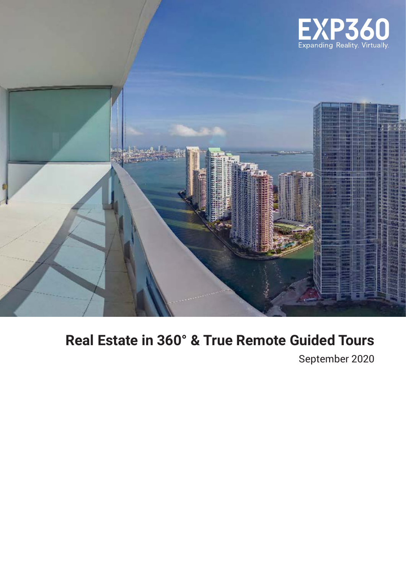



# **Real Estate in 360° & True Remote Guided Tours**

September 2020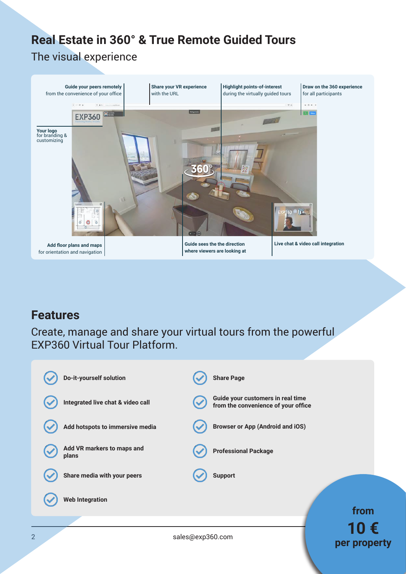# **Real Estate in 360° & True Remote Guided Tours**

### The visual experience



# **Features**

Create, manage and share your virtual tours from the powerful EXP360 Virtual Tour Platform.



**per property**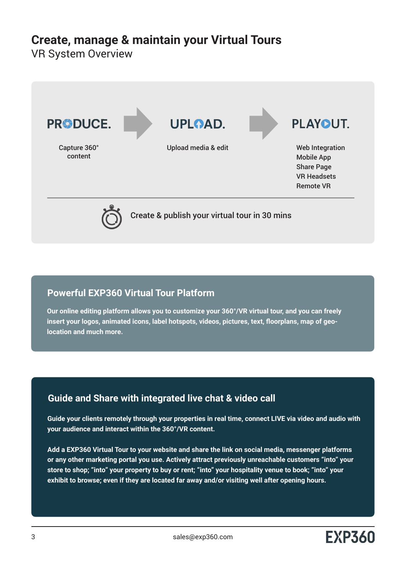## **Create, manage & maintain your Virtual Tours**

VR System Overview



### **Powerful EXP360 Virtual Tour Platform**

**Our online editing platform allows you to customize your 360°/VR virtual tour, and you can freely insert your logos, animated icons, label hotspots, videos, pictures, text, floorplans, map of geolocation and much more.**

### **Guide and Share with integrated live chat & video call**

**Guide your clients remotely through your properties in real time, connect LIVE via video and audio with your audience and interact within the 360°/VR content.**

**Add a EXP360 Virtual Tour to your website and share the link on social media, messenger platforms or any other marketing portal you use. Actively attract previously unreachable customers "into" your store to shop; "into" your property to buy or rent; "into" your hospitality venue to book; "into" your exhibit to browse; even if they are located far away and/or visiting well after opening hours.**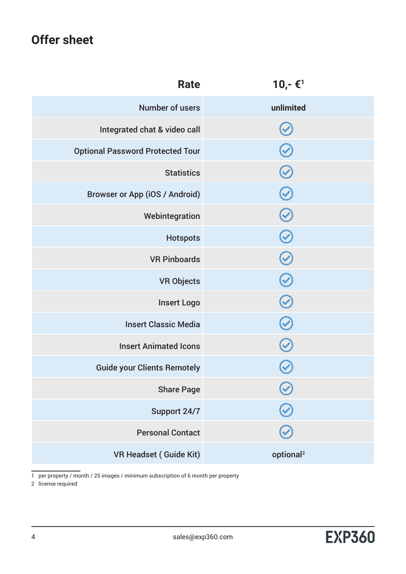# **Offer sheet**

| <b>Rate</b>                             | $10,-$ € <sup>1</sup>    |
|-----------------------------------------|--------------------------|
| <b>Number of users</b>                  | unlimited                |
| Integrated chat & video call            | V                        |
| <b>Optional Password Protected Tour</b> | $\bigcirc$               |
| <b>Statistics</b>                       | $\bigodot$               |
| <b>Browser or App (iOS / Android)</b>   | $\bigcirc$               |
| Webintegration                          | $\bigcirc$               |
| <b>Hotspots</b>                         | $\bigcirc$               |
| <b>VR Pinboards</b>                     | $\bigcirc$               |
| <b>VR Objects</b>                       | $\bigcirc$               |
| <b>Insert Logo</b>                      | $\bigcirc$               |
| <b>Insert Classic Media</b>             |                          |
| <b>Insert Animated Icons</b>            | $\bigodot$               |
| <b>Guide your Clients Remotely</b>      |                          |
| <b>Share Page</b>                       |                          |
| Support 24/7                            | $\overline{\mathcal{C}}$ |
| <b>Personal Contact</b>                 |                          |
| <b>VR Headset (Guide Kit)</b>           | optional <sup>2</sup>    |

1 per property / month / 25 images / minimum subscription of 6 month per property

2 license required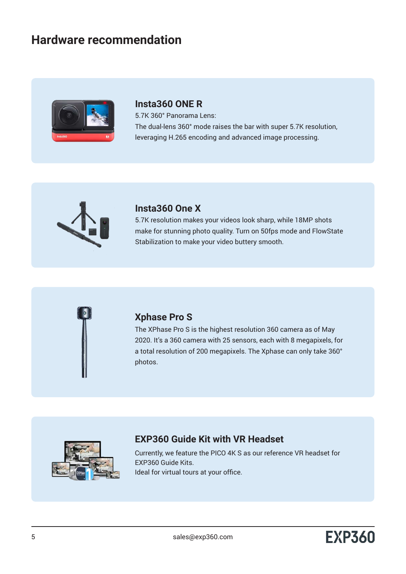## **Hardware recommendation**



### **Insta360 ONE R**

5.7K 360° Panorama Lens: The dual-lens 360° mode raises the bar with super 5.7K resolution, leveraging H.265 encoding and advanced image processing.



### **Insta360 One X**

5.7K resolution makes your videos look sharp, while 18MP shots make for stunning photo quality. Turn on 50fps mode and FlowState Stabilization to make your video buttery smooth.



### **Xphase Pro S**

The XPhase Pro S is the highest resolution 360 camera as of May 2020. It's a 360 camera with 25 sensors, each with 8 megapixels, for a total resolution of 200 megapixels. The Xphase can only take 360° photos.



### **EXP360 Guide Kit with VR Headset**

Currently, we feature the PICO 4K S as our reference VR headset for EXP360 Guide Kits. Ideal for virtual tours at your office.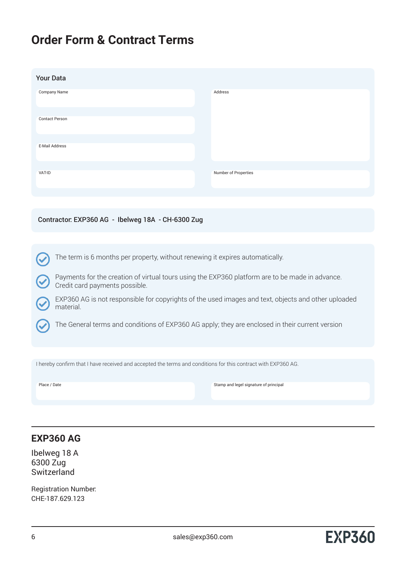## **Order Form & Contract Terms**

| <b>Your Data</b>      |                      |
|-----------------------|----------------------|
| <b>Company Name</b>   | Address              |
| <b>Contact Person</b> |                      |
| E-Mail Address        |                      |
| VAT-ID                | Number of Properties |
|                       |                      |

### Contractor: EXP360 AG - Ibelweg 18A - CH-6300 Zug

The term is 6 months per property, without renewing it expires automatically.

Payments for the creation of virtual tours using the EXP360 platform are to be made in advance. Credit card payments possible.

EXP360 AG is not responsible for copyrights of the used images and text, objects and other uploaded material.

The General terms and conditions of EXP360 AG apply; they are enclosed in their current version

I hereby confirm that I have received and accepted the terms and conditions for this contract with EXP360 AG.

Place / Date Stamp and legel signature of principal

### **EXP360 AG**

Ibelweg 18 A 6300 Zug **Switzerland** 

Registration Number: CHE-187.629.123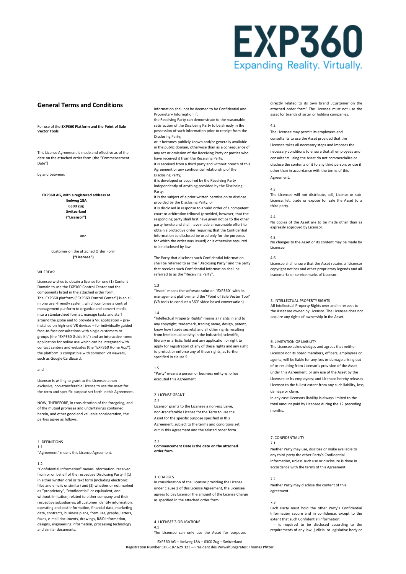# EXP360 **Expanding Reality. Virtually.**

#### **General Terms and Conditions**

#### For use of t**he EXP360 Platform and the Point of Sale Vector Tools**

This License Agreement is made and effective as of the date on the attached order form (the "Commencement Date")

by and between:

#### **EXP360 AG, with a registered address at Ibelweg 18A 6300 Zug Switzerland ("Licensor")**

and

#### Customer on the attached Order Form **("Licensee")**

#### WHEREAS:

Licensee wishes to obtain a license for one (1) Content Domain to use the EXP360 Control Center and the components listed in the attached order form. The EXP360 platform ("EXP360 Control Center") is an all in one user-friendly system, which combines a central management platform to organize and convert media into a standardized format, manage tasks and staff around the globe and to provide a VR application – preinstalled on high-end VR devices – for individually guided face-to-face consultations with single customers or groups (the "EXP360 Guide Kit") and an interactive home application for online use which can be integrated with contact centers and websites (the "EXP360 Home App"), the platform is compatible with common VR viewers, such as Google Cardboard.

#### and

Licensor is willing to grant to the Licensee a nonexclusive, non-transferable License to use the asset for the term and specific purpose set forth in this Agreement,

NOW, THEREFORE, in consideration of the foregoing, and of the mutual promises and undertakings contained herein, and other good and valuable consideration, the parties agree as follows:

#### 1. DEFINITIONS

1.1 "Agreement" means this License Agreement.

#### 1.2

"Confidential Information" means information received from or on behalf of the respective Disclosing Party if (1) in either written oral or text form (including electronic files and emails or similar) and (2) whether or not marked as "proprietary", "confidential" or equivalent, and without limitation, related to either company and their respective subsidiaries, all customer identity information, operating and cost information, financial data, marketing data, contracts, business plans, formulae, graphs, letters, faxes, e-mail documents, drawings, R&D information, designs, engineering information, processing technology and similar documents.

Information shall not be deemed to be Confidential and Proprietary Information if:

the Receiving Party can demonstrate to the reasonable satisfaction of the Disclosing Party to be already in the possession of such information prior to receipt from the Disclosing Party;

or it becomes publicly known and/or generally available in the public domain, otherwise than as a consequence of any act or omission of the Receiving Party or parties who have received it from the Receiving Party;

it is received from a third party and without breach of this Agreement or any confidential relationship of the Disclosing Party;

it is developed or acquired by the Receiving Party independently of anything provided by the Disclosing Party;

it is the subject of a prior written permission to disclose provided by the Disclosing Party; or

it is disclosed in response to a valid order of a competent court or arbitration tribunal (provided, however, that the responding party shall first have given notice to the other party hereto and shall have made a reasonable effort to obtain a protective order requiring that the Confidential Information so disclosed be used only for the purposes for which the order was issued) or is otherwise required to be disclosed by law.

The Party that discloses such Confidential Information shall be referred to as the "Disclosing Party" and the party that receives such Confidential Information shall be referred to as the "Receiving Party".

#### 1.3

"Asset" means the software solution "EXP360" with its management platform and the "Point of Sale Vector Tool" (VR tools to conduct a 360° video based conversation)

#### 1.4

"Intellectual Property Rights" means all rights in and to any copyright, trademark, trading name, design, patent, know how (trade secrets) and all other rights resulting from intellectual activity in the industrial, scientific, literary or artistic field and any application or right to apply for registration of any of these rights and any right to protect or enforce any of these rights, as further specified in clause 5.

#### 1.5

"Party" means a person or business entity who has executed this Agreement

#### 2. LICENSE GRANT 2.1

Licensor grants to the Licensee a non-exclusive, non-transferable License for the Term to use the Asset for the specific purpose specified in this Agreement, subject to the terms and conditions set out in this Agreement and the related order form.

**Commencement Date is the date on the attached order form.**

#### 3. CHARGES

2.2

In consideration of the Licensor providing the License under clause 2 of this License Agreement, the Licensee agrees to pay Licensor the amount of the License Charge as specified in the attached order form.

#### 4. LICENSEE'S OBLIGATIONS 4.1

The Licensee can only use the Asset for purposes

directly related to its own brand ...Customer on the attached order form" The Licensee must not use the asset for brands of sister or holding companies.

#### $4.2$

The Licensee may permit its employees and consultants to use the Asset provided that the Licensee takes all necessary steps and imposes the necessary conditions to ensure that all employees and consultants using the Asset do not commercialize or disclose the contents of it to any third person, or use it other than in accordance with the terms of this Agreement.

#### 4.3

The Licensee will not distribute, sell, License or sub-License, let, trade or expose for sale the Asset to a third party.

#### 4.4

No copies of the Asset are to be made other than as expressly approved by Licensor.

4.5 No changes to the Asset or its content may be made by Licensee

#### 4.6

Licensee shall ensure that the Asset retains all Licensor copyright notices and other proprietary legends and all trademarks or service marks of Licensor.

#### 5. INTELLECTUAL PROPERTY RIGHTS

All Intellectual Property Rights over and in respect to the Asset are owned by Licensor. The Licensee does not acquire any rights of ownership in the Asset.

#### 6. LIMITATION OF LIABILITY

The Licensee acknowledges and agrees that neither Licensor nor its board members, officers, employees or agents, will be liable for any loss or damage arising out of or resulting from Licensor's provision of the Asset under this Agreement, or any use of the Asset by the Licensee or its employees; and Licensee hereby releases Licensor to the fullest extent from any such liability, loss, damage or claim.

In any case Licensors liability is always limited to the total amount paid by Licensee during the 12 preceding months.

#### 7. CONFIDENTIALITY

#### 7.1

Neither Party may use, disclose or make available to any third party the other Party's Confidential Information, unless such use or disclosure is done in accordance with the terms of this Agreement.

#### 7.2

Neither Party may disclose the content of this agreement.

#### 7.3

Each Party must hold the other Party's Confidential Information secure and in confidence, except to the extent that such Confidential Information:

 -- is required to be disclosed according to the requirements of any law, judicial or legislative body or

EXP360 AG – Ibelweg 18A – 6300 Zug – Switzerland Registration Number CHE-187.629.123 – Präsident des Verwaltungsrates: Thomas Pfitzer